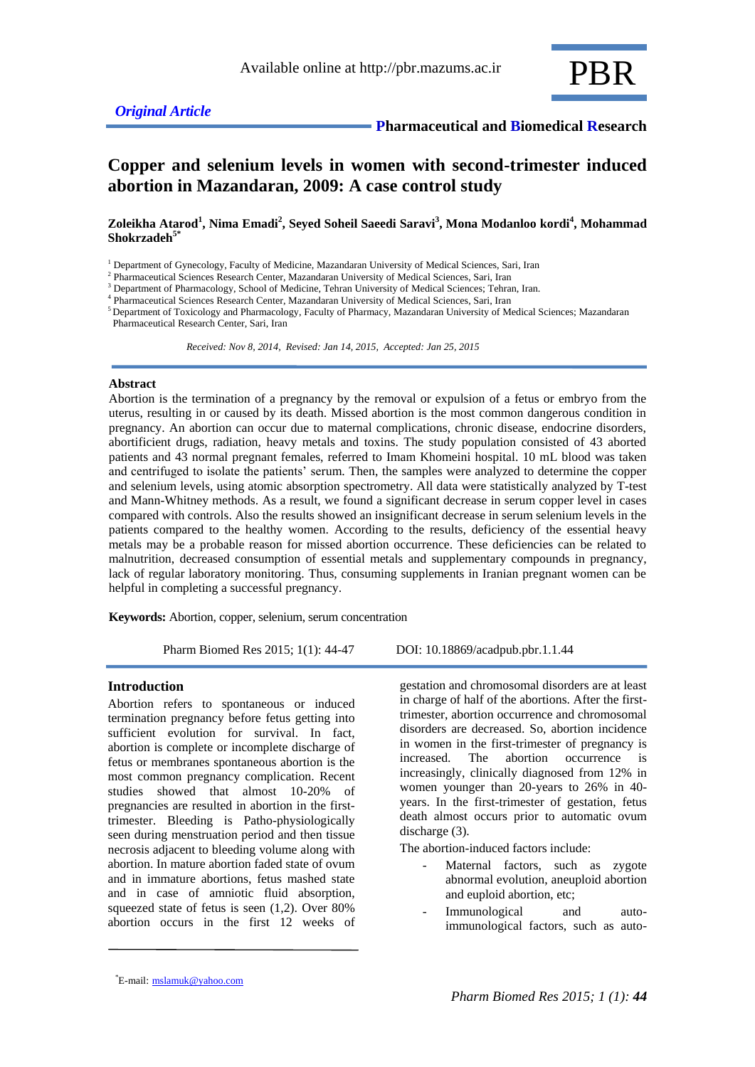

# **Copper and selenium levels in women with second-trimester induced abortion in Mazandaran, 2009: A case control study**

**Zoleikha Atarod<sup>1</sup> , Nima Emadi<sup>2</sup> , Seyed Soheil Saeedi Saravi<sup>3</sup> , Mona Modanloo kordi<sup>4</sup> , Mohammad Shokrzadeh5\***

<sup>1</sup> Department of Gynecology, Faculty of Medicine, Mazandaran University of Medical Sciences, Sari, Iran

<sup>2</sup> Pharmaceutical Sciences Research Center, Mazandaran University of Medical Sciences, Sari, Iran

<sup>3</sup> Department of Pharmacology, School of Medicine, Tehran University of Medical Sciences; Tehran, Iran. 4

Pharmaceutical Sciences Research Center, Mazandaran University of Medical Sciences, Sari, Iran

<sup>5</sup> Department of Toxicology and Pharmacology, Faculty of Pharmacy, Mazandaran University of Medical Sciences; Mazandaran Pharmaceutical Research Center, Sari, Iran

 *Received: Nov 8, 2014, Revised: Jan 14, 2015, Accepted: Jan 25, 2015*

#### **Abstract**

Abortion is the termination of a pregnancy by the removal or expulsion of a fetus or embryo from the uterus, resulting in or caused by its death. Missed abortion is the most common dangerous condition in pregnancy. An abortion can occur due to maternal complications, chronic disease, endocrine disorders, abortificient drugs, radiation, heavy metals and toxins. The study population consisted of 43 aborted patients and 43 normal pregnant females, referred to Imam Khomeini hospital. 10 mL blood was taken and centrifuged to isolate the patients' serum. Then, the samples were analyzed to determine the copper and selenium levels, using atomic absorption spectrometry. All data were statistically analyzed by T-test and Mann-Whitney methods. As a result, we found a significant decrease in serum copper level in cases compared with controls. Also the results showed an insignificant decrease in serum selenium levels in the patients compared to the healthy women. According to the results, deficiency of the essential heavy metals may be a probable reason for missed abortion occurrence. These deficiencies can be related to malnutrition, decreased consumption of essential metals and supplementary compounds in pregnancy, lack of regular laboratory monitoring. Thus, consuming supplements in Iranian pregnant women can be helpful in completing a successful pregnancy.

**Keywords:** Abortion, copper, selenium, serum concentration

Pharm Biomed Res 2015; 1(1): 44-47 DOI: 10.18869/acadpub.pbr.1.1.44

#### **Introduction**

Abortion refers to spontaneous or induced termination pregnancy before fetus getting into sufficient evolution for survival. In fact, abortion is complete or incomplete discharge of fetus or membranes spontaneous abortion is the most common pregnancy complication. Recent studies showed that almost 10-20% of pregnancies are resulted in abortion in the firsttrimester. Bleeding is Patho-physiologically seen during menstruation period and then tissue necrosis adjacent to bleeding volume along with abortion. In mature abortion faded state of ovum and in immature abortions, fetus mashed state and in case of amniotic fluid absorption, squeezed state of fetus is seen (1,2). Over 80% abortion occurs in the first 12 weeks of

gestation and chromosomal disorders are at least in charge of half of the abortions. After the firsttrimester, abortion occurrence and chromosomal disorders are decreased. So, abortion incidence in women in the first-trimester of pregnancy is increased. The abortion occurrence is increasingly, clinically diagnosed from 12% in women younger than 20-years to 26% in 40 years. In the first-trimester of gestation, fetus death almost occurs prior to automatic ovum discharge (3).

The abortion-induced factors include:

- Maternal factors, such as zygote abnormal evolution, aneuploid abortion and euploid abortion, etc;
- Immunological and autoimmunological factors, such as auto-

E-mail: mslamuk@yahoo.com \*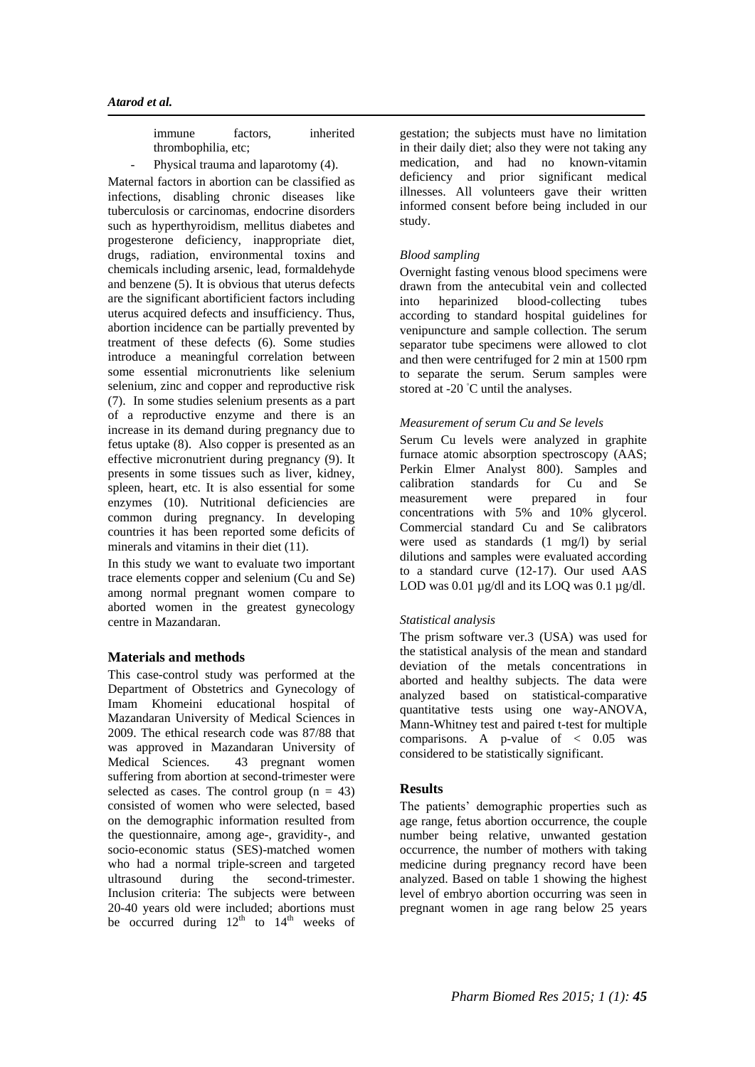| <i>s immune</i>     | factors, | inherited |
|---------------------|----------|-----------|
| thrombophilia, etc; |          |           |

Physical trauma and laparotomy (4).

Maternal factors in abortion can be classified as infections, disabling chronic diseases like tuberculosis or carcinomas, endocrine disorders such as hyperthyroidism, mellitus diabetes and progesterone deficiency, inappropriate diet, drugs, radiation, environmental toxins and chemicals including arsenic, lead, formaldehyde and benzene (5). It is obvious that uterus defects are the significant abortificient factors including uterus acquired defects and insufficiency. Thus, abortion incidence can be partially prevented by treatment of these defects (6). Some studies introduce a meaningful correlation between some essential micronutrients like selenium selenium, zinc and copper and reproductive risk (7). In some studies selenium presents as a part of a reproductive enzyme and there is an increase in its demand during pregnancy due to fetus uptake (8). Also copper is presented as an effective micronutrient during pregnancy (9). It presents in some tissues such as liver, kidney, spleen, heart, etc. It is also essential for some enzymes (10). Nutritional deficiencies are common during pregnancy. In developing countries it has been reported some deficits of minerals and vitamins in their diet (11).

In this study we want to evaluate two important trace elements copper and selenium (Cu and Se) among normal pregnant women compare to aborted women in the greatest gynecology centre in Mazandaran.

## **Materials and methods**

This case-control study was performed at the Department of Obstetrics and Gynecology of Imam Khomeini educational hospital of Mazandaran University of Medical Sciences in 2009. The ethical research code was 87/88 that was approved in Mazandaran University of Medical Sciences. 43 pregnant women suffering from abortion at second-trimester were selected as cases. The control group  $(n = 43)$ consisted of women who were selected, based on the demographic information resulted from the questionnaire, among age-, gravidity-, and socio-economic status (SES)-matched women who had a normal triple-screen and targeted ultrasound during the second-trimester. Inclusion criteria: The subjects were between 20-40 years old were included; abortions must be occurred during  $12<sup>th</sup>$  to  $14<sup>th</sup>$  weeks of

gestation; the subjects must have no limitation in their daily diet; also they were not taking any medication, and had no known-vitamin deficiency and prior significant medical illnesses. All volunteers gave their written informed consent before being included in our study.

### *Blood sampling*

Overnight fasting venous blood specimens were drawn from the antecubital vein and collected into heparinized blood-collecting tubes according to standard hospital guidelines for venipuncture and sample collection. The serum separator tube specimens were allowed to clot and then were centrifuged for 2 min at 1500 rpm to separate the serum. Serum samples were stored at -20 °C until the analyses.

### *Measurement of serum Cu and Se levels*

Serum Cu levels were analyzed in graphite furnace atomic absorption spectroscopy (AAS; Perkin Elmer Analyst 800). Samples and calibration standards for Cu and Se<br>measurement were prepared in four measurement were prepared in four concentrations with 5% and 10% glycerol. Commercial standard Cu and Se calibrators were used as standards (1 mg/l) by serial dilutions and samples were evaluated according to a standard curve (12-17). Our used AAS LOD was 0.01  $\mu$ g/dl and its LOQ was 0.1  $\mu$ g/dl.

## *Statistical analysis*

The prism software ver.3 (USA) was used for the statistical analysis of the mean and standard deviation of the metals concentrations in aborted and healthy subjects. The data were analyzed based on statistical-comparative quantitative tests using one way-ANOVA, Mann-Whitney test and paired t-test for multiple comparisons. A p-value of  $< 0.05$  was considered to be statistically significant.

## **Results**

The patients' demographic properties such as age range, fetus abortion occurrence, the couple number being relative, unwanted gestation occurrence, the number of mothers with taking medicine during pregnancy record have been analyzed. Based on table 1 showing the highest level of embryo abortion occurring was seen in pregnant women in age rang below 25 years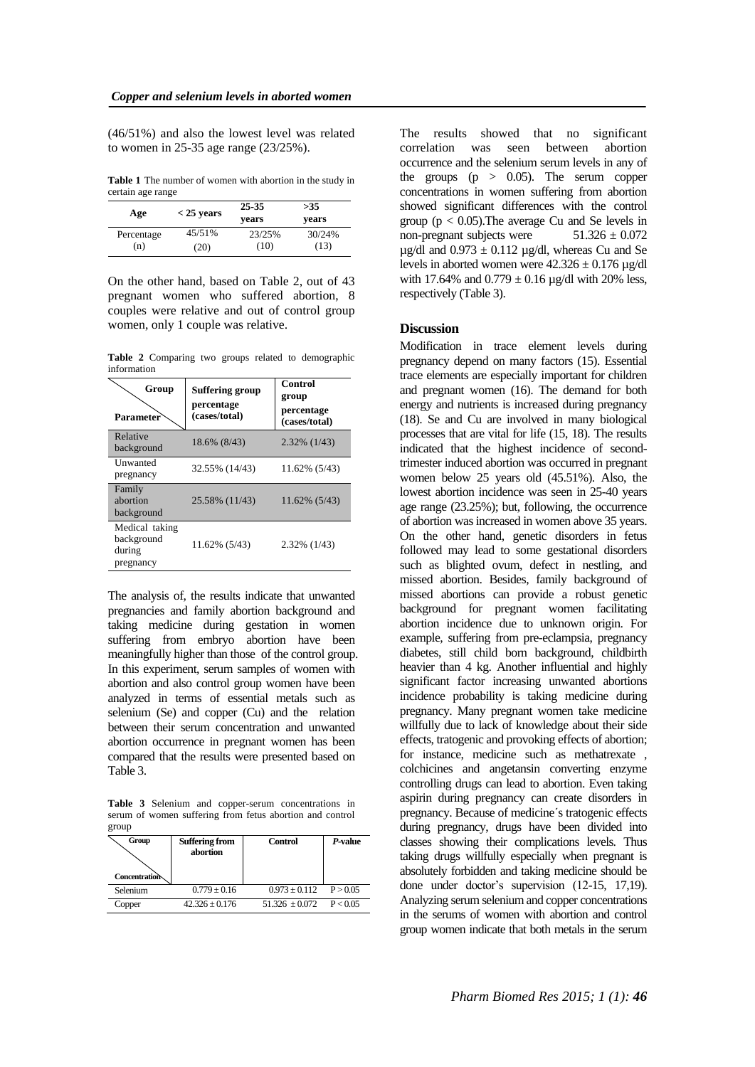(46/51%) and also the lowest level was related to women in 25-35 age range (23/25%).

**Table 1** The number of women with abortion in the study in certain age range

| Age        | $<$ 25 years | 25-35<br>vears | >35<br>vears |
|------------|--------------|----------------|--------------|
| Percentage | 45/51%       | 23/25%         | 30/24%       |
| (n)        | (20)         | (10)           | (13)         |

On the other hand, based on Table 2, out of 43 pregnant women who suffered abortion, 8 couples were relative and out of control group women, only 1 couple was relative.

**Table 2** Comparing two groups related to demographic information

| Group<br><b>Parameter</b>                           | <b>Suffering group</b><br>percentage<br>(cases/total) | Control<br>group<br>percentage<br>(cases/total) |
|-----------------------------------------------------|-------------------------------------------------------|-------------------------------------------------|
| Relative<br>background                              | 18.6% (8/43)                                          | 2.32% (1/43)                                    |
| <b>Unwanted</b><br>pregnancy                        | 32.55% (14/43)                                        | 11.62% (5/43)                                   |
| Family<br>abortion<br>background                    | 25.58% (11/43)                                        | 11.62% (5/43)                                   |
| Medical taking<br>background<br>during<br>pregnancy | 11.62% (5/43)                                         | 2.32% (1/43)                                    |

The analysis of, the results indicate that unwanted pregnancies and family abortion background and taking medicine during gestation in women suffering from embryo abortion have been meaningfully higher than those of the control group. In this experiment, serum samples of women with abortion and also control group women have been analyzed in terms of essential metals such as selenium (Se) and copper (Cu) and the relation between their serum concentration and unwanted abortion occurrence in pregnant women has been compared that the results were presented based on Table 3.

**Table 3** Selenium and copper-serum concentrations in serum of women suffering from fetus abortion and control group

| Group<br>Concentration | <b>Suffering from</b><br>abortion | <b>Control</b>   | P-value  |
|------------------------|-----------------------------------|------------------|----------|
| Selenium               | $0.779 \pm 0.16$                  | $0.973 + 0.112$  | P > 0.05 |
| Copper                 | $42.326 + 0.176$                  | $51.326 + 0.072$ | P < 0.05 |

The results showed that no significant correlation was seen between abortion occurrence and the selenium serum levels in any of the groups  $(p > 0.05)$ . The serum copper concentrations in women suffering from abortion showed significant differences with the control group ( $p < 0.05$ ). The average Cu and Se levels in non-pregnant subjects were  $51.326 \pm 0.072$  $\mu$ g/dl and 0.973  $\pm$  0.112  $\mu$ g/dl, whereas Cu and Se levels in aborted women were  $42.326 \pm 0.176$  µg/dl with 17.64% and  $0.779 \pm 0.16$  µg/dl with 20% less, respectively (Table 3).

### **Discussion**

Modification in trace element levels during pregnancy depend on many factors (15). Essential trace elements are especially important for children and pregnant women (16). The demand for both energy and nutrients is increased during pregnancy (18). Se and Cu are involved in many biological processes that are vital for life (15, 18). The results indicated that the highest incidence of secondtrimester induced abortion was occurred in pregnant women below 25 years old (45.51%). Also, the lowest abortion incidence was seen in 25-40 years age range (23.25%); but, following, the occurrence of abortion was increased in women above 35 years. On the other hand, genetic disorders in fetus followed may lead to some gestational disorders such as blighted ovum, defect in nestling, and missed abortion. Besides, family background of missed abortions can provide a robust genetic background for pregnant women facilitating abortion incidence due to unknown origin. For example, suffering from pre-eclampsia, pregnancy diabetes, still child born background, childbirth heavier than 4 kg. Another influential and highly significant factor increasing unwanted abortions incidence probability is taking medicine during pregnancy. Many pregnant women take medicine willfully due to lack of knowledge about their side effects, tratogenic and provoking effects of abortion; for instance, medicine such as methatrexate , colchicines and angetansin converting enzyme controlling drugs can lead to abortion. Even taking aspirin during pregnancy can create disorders in pregnancy. Because of medicine´s tratogenic effects during pregnancy, drugs have been divided into classes showing their complications levels. Thus taking drugs willfully especially when pregnant is absolutely forbidden and taking medicine should be done under doctor's supervision (12-15, 17,19). Analyzing serum selenium and copper concentrations in the serums of women with abortion and control group women indicate that both metals in the serum